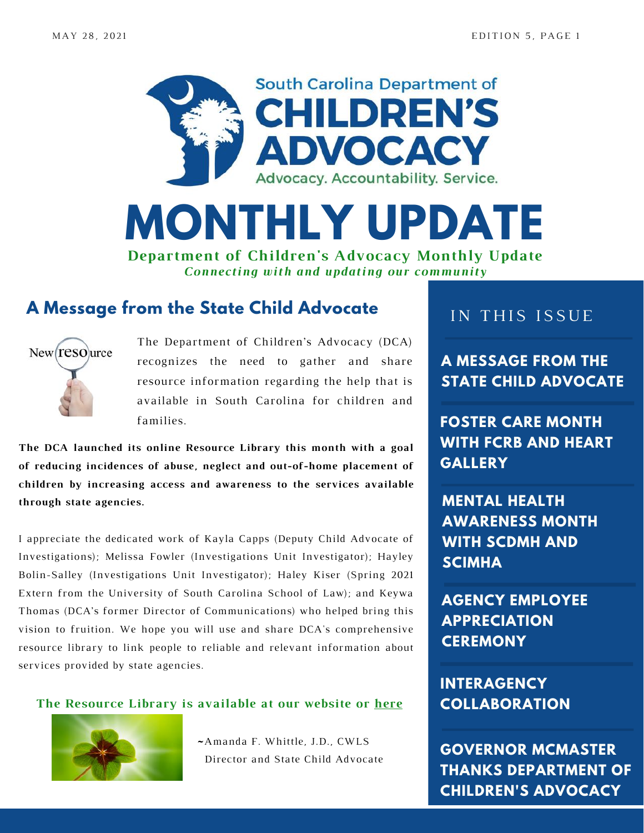



*Connecting with and updating our community*

### **A Message from the State Child Advocate**



The Department of Children's Advocacy (DCA) recognizes the need to gather and share resource information regarding the help that is available in South Carolina for children and families. **FOSTER CARE MONTH**

**The DCA launched its online Resource Library this month with a goal of reducing incidences of abuse, neglect and out-of-home placement of children by increasing access and awareness to the services available through state agencies.**

I appreciate the dedicated work of Kayla Capps (Deputy Child Advocate of Investigations); Melissa Fowler (Investigations Unit Investigator); Hayley Bolin-Salley (Investigations Unit Investigator); Haley Kiser (Spring 2021 Extern from the University of South Carolina School of Law); and Keywa Thomas (DCA's former Director of Communications) who helped bring this vision to fruition. We hope you will use and share DCA's comprehensive resource library to link people to reliable and relevant information about services provided by state agencies.

#### **The Resource Library is available at our website or [here](https://childadvocate.sc.gov/resource-library)**



~Amanda F. Whittle, J.D., CWLS Director and State Child Advocate

#### IN THIS ISSUE

**A MESSAGE FROM THE STATE CHILD ADVOCATE**

**WITH FCRB AND HEART GALLERY**

**MENTAL HEALTH AWARENESS MONTH WITH SCDMH AND SCIMHA**

**AGENCY EMPLOYEE APPRECIATION CEREMONY**

**INTERAGENCY COLLABORATION**

**GOVERNOR MCMASTER THANKS DEPARTMENT OF CHILDREN'S ADVOCACY**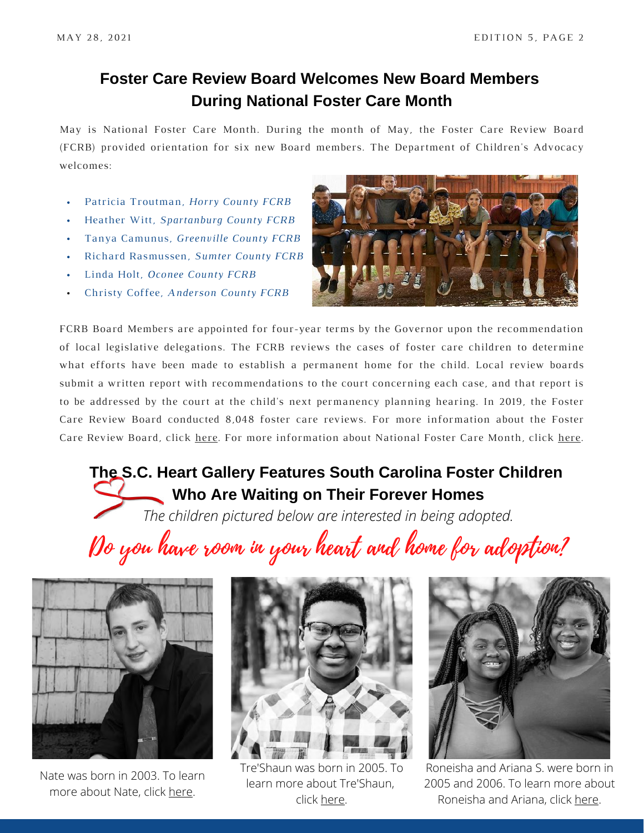### **Foster Care Review Board Welcomes New Board Members During National Foster Care Month**

May is National Foster Care Month. During the month of May, the Foster Care Review Board (FCRB) provided orientation for six new Board members. The Department of Children's Advocacy welcomes:

- Patricia Troutman, *Horry County FCRB*
- Heather Witt, *Spartanburg County FCRB*  $\bullet$
- Tanya Camunus, *Greenville County FCRB*
- Richard Rasmussen, *Sumter County FCRB*  $\bullet$  . <br> <br> <br> <br> <br> <br> <br>
- Linda Holt, *Oconee County FCRB*
- Christy Coffee, *Anderson County FCRB*



FCRB Board Members are appointed for four-year terms by the Governor upon the recommendation of local legislative delegations. The FCRB reviews the cases of foster care children to determine what efforts have been made to establish a permanent home for the child. Local review boards submit a written report with recommendations to the court concerning each case, and that report is to be addressed by the court at the child's next permanency planning hearing. In 2019, the Foster Care Review Board conducted 8,048 foster care reviews. For more information about the Foster Care Review Board, click [here](https://childadvocate.sc.gov/divisions-and-related-programs). For more information about National Foster Care Month, click [here](https://www.childwelfare.gov/fostercaremonth/).

# **The S.C. Heart Gallery Features South Carolina Foster Children Who Are Waiting on Their Forever Homes**

*The children pictured below are interested in being adopted.*

Do you have room in your heart and home for adoption?



Nate was born in 2003. To learn more about Nate, click [here](https://www.scheartgallery.org/content/nathaniel-nate-h).



Tre'Shaun was born in 2005. To learn more about Tre'Shaun, click [here.](https://www.scheartgallery.org/content/treshaun-t)



Roneisha and Ariana S. were born in 2005 and 2006. To learn more about Roneisha and Ariana, click [here](https://www.scheartgallery.org/content/roneisha-ariana-s).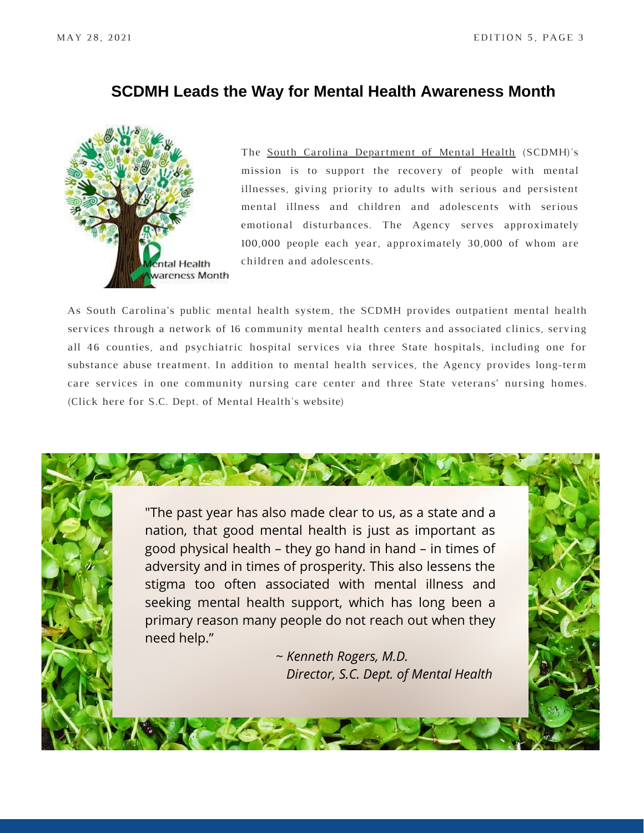#### **SCDMH Leads the Way for Mental Health Awareness Month**



The South Carolina [Department](https://scdmh.net/about/) of Mental Health (SCDMH)'s mission is to support the recovery of people with mental illnesses, giving priority to adults with serious and persistent mental illness and children and adolescents with serious emotional disturbances. The Agency serves approximately 100,000 people each year, approximately 30,000 of whom are children and adolescents.

As South Carolina's public mental health system, the SCDMH provides outpatient mental health services through a network of 16 community mental health centers and associated clinics, serving all 46 counties, and psychiatric hospital services via three State hospitals, including one for substance abuse treatment. In addition to mental health services, the Agency provides long-term care services in one community nursing care center and three State veterans' nursing homes. (Click [here](https://scdmh.net/scdmh-commemorates-mental-health-month-2021/) for S.C. Dept. of Mental Health's website)

"The past year has also made clear to us, as a state and a nation, that good mental health is just as important as good physical health – they go hand in hand – in times of adversity and in times of prosperity. This also lessens the stigma too often associated with mental illness and seeking mental health support, which has long been a primary reason many people do not reach out when they need help." ~ *Kenneth Rogers, M.D. Director, S.C. Dept. of Mental Health*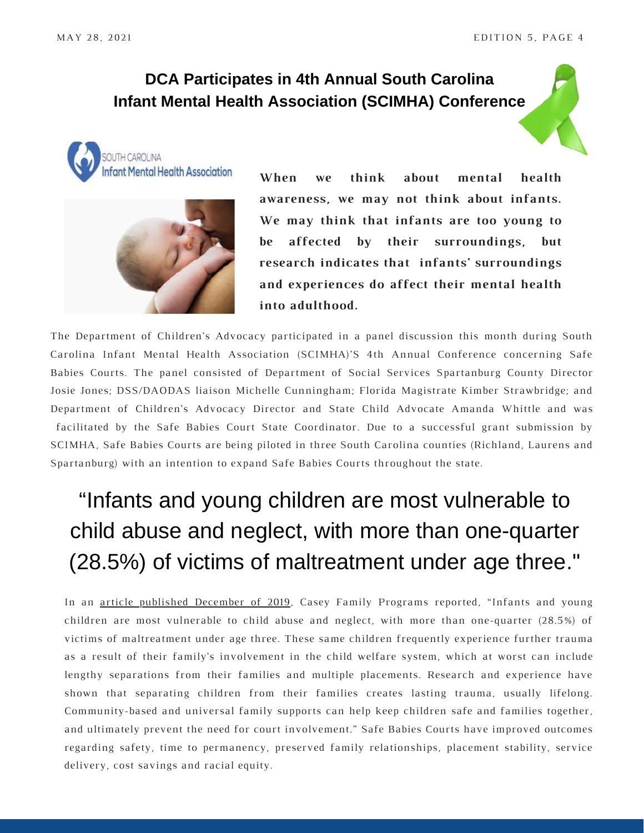#### **DCA Participates in 4th Annual South Carolina Infant Mental Health Association (SCIMHA) Conference**





**When we think about mental health awareness, we may not think about infants. We may think that infants are too young to be affected by their surroundings, but research indicates that infants' surroundings and experiences do affect their mental health into adulthood.**

The Department of Children's Advocacy participated in a panel discussion this month during South Carolina Infant Mental Health Association (SCIMHA)'S 4th Annual Conference concerning Safe Babies Courts. The panel consisted of Department of Social Services Spartanburg County Director Josie Jones; DSS/DAODAS liaison Michelle Cunningham; Florida Magistrate Kimber Strawbridge; and Department of Children's Advocacy Director and State Child Advocate Amanda Whittle and was facilitated by the Safe Babies Court State Coordinator. Due to a successful grant submission by SCIMHA, Safe Babies Courts are being piloted in three South Carolina counties (Richland, Laurens and Spartanburg) with an intention to expand Safe Babies Courts throughout the state.

# "Infants and young children are most vulnerable to child abuse and neglect, with more than one-quarter [\(28.5%\) of victims of maltreatment under age three."](https://www.acf.hhs.gov/sites/default/files/cb/cm2017.pdf)

In an article published [December](https://www.casey.org/safe-babies-court-teams/) of 2019, Casey Family Programs reported, "Infants and young children are most vulnerable to child abuse and neglect, with more than one-quarter (28.5%) of victims of [maltreatment](https://www.acf.hhs.gov/sites/default/files/cb/cm2017.pdf) under age three. These same children frequently experience further trauma as a result of their family's involvement in the child welfare system, which at worst can include lengthy separations from their families and multiple placements. Research and experience have shown that [separating](https://www.casey.org/investigation-removal-placement-causes-trauma/) children from their families creates lasting trauma, usually lifelong. Community-based and universal family supports can help keep children safe and families together, and ultimately prevent the need for court involvement." Safe Babies Courts have improved outcomes regarding safety, time to permanency, preserved family relationships, placement stability, service delivery, cost savings and racial equity.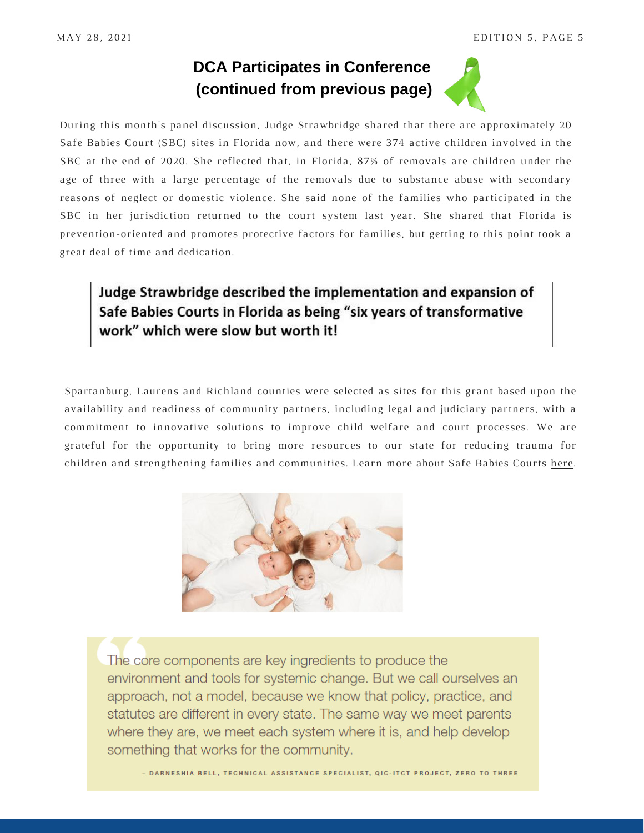## **DCA Participates in Conference (continued from previous page)**



During this month's panel discussion, Judge Strawbridge shared that there are approximately 20 Safe Babies Court (SBC) sites in Florida now, and there were 374 active children involved in the SBC at the end of 2020. She reflected that, in Florida, 87% of removals are children under the age of three with a large percentage of the removals due to substance abuse with secondary reasons of neglect or domestic violence. She said none of the families who participated in the SBC in her jurisdiction returned to the court system last year. She shared that Florida is prevention-oriented and promotes protective factors for families, but getting to this point took a great deal of time and dedication.

#### Judge Strawbridge described the implementation and expansion of Safe Babies Courts in Florida as being "six years of transformative work" which were slow but worth it!

Spartanburg, Laurens and Richland counties were selected as sites for this grant based upon the availability and readiness of community partners, including legal and judiciary partners, with a commitment to innovative solutions to improve child welfare and court processes. We are grateful for the opportunity to bring more resources to our state for reducing trauma for children and strengthening families and communities. Learn more about Safe Babies Courts [here](https://www.zerotothree.org/our-work/the-national-infant-toddler-court-program).



The core components are key ingredients to produce the environment and tools for systemic change. But we call ourselves an approach, not a model, because we know that policy, practice, and statutes are different in every state. The same way we meet parents where they are, we meet each system where it is, and help develop something that works for the community.

- DARNESHIA BELL, TECHNICAL ASSISTANCE SPECIALIST, QIC-ITCT PROJECT, ZERO TO THREE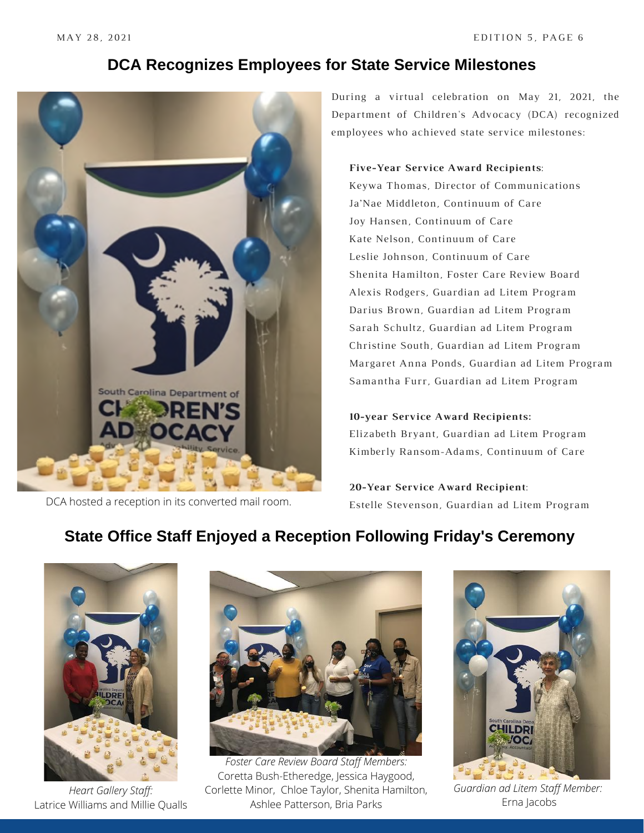#### **DCA Recognizes Employees for State Service Milestones**



DCA hosted a reception in its converted mail room.

During a virtual celebration on May 21, 2021, the Department of Children's Advocacy (DCA) recognized employees who achieved state service milestones:

#### **Five-Year Service Award Recipients**:

Keywa Thomas, Director of Communications Ja'Nae Middleton, Continuum of Care Joy Hansen, Continuum of Care Kate Nelson, Continuum of Care Leslie Johnson, Continuum of Care Shenita Hamilton, Foster Care Review Board Alexis Rodgers, Guardian ad Litem Program Darius Brown, Guardian ad Litem Program Sarah Schultz, Guardian ad Litem Program Christine South, Guardian ad Litem Program Margaret Anna Ponds, Guardian ad Litem Program Samantha Furr, Guardian ad Litem Program

#### **10-year Service Award Recipients:**

Elizabeth Bryant, Guardian ad Litem Program Kimberly Ransom-Adams, Continuum of Care

**20-Year Service Award Recipient**: Estelle Stevenson, Guardian ad Litem Program

# **State Office Staff Enjoyed a Reception Following Friday's Ceremony**



*Heart Gallery Staff:* Latrice Williams and Millie Qualls



*Foster Care Review Board Staff Members:* Coretta Bush-Etheredge, Jessica Haygood, Corlette Minor, Chloe Taylor, Shenita Hamilton, Ashlee Patterson, Bria Parks



*Guardian ad Litem Staff Member:* Erna Jacobs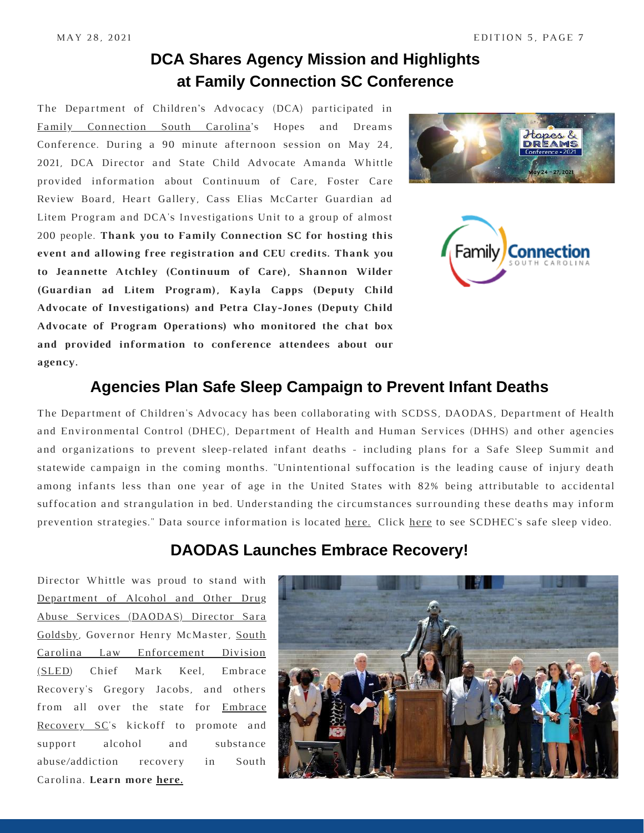### **DCA Shares Agency Mission and Highlights at Family Connection SC Conference**

The Department of Children's Advocacy (DCA) participated in Family [Connection](https://www.familyconnectionsc.org/) South Carolina['s](https://www.familyconnectionsc.org/) Hopes and Dreams Conference. During a 90 minute afternoon session on May 24, 2021, DCA Director and State Child Advocate Amanda Whittle provided information about Continuum of Care, Foster Care Review Board, Heart Gallery, Cass Elias McCarter Guardian ad Litem Program and DCA's Investigations Unit to a group of almost 200 people. **Thank you to Family Connection SC for hosting this event and allowing free registration and CEU credits. Thank you to Jeannette Atchley (Continuum of Care), Shannon Wilder (Guardian ad Litem Program), Kayla Capps (Deputy Child Advocate of Investigations) and Petra Clay-Jones (Deputy Child Advocate of Program Operations) who monitored the chat box and provided information to conference attendees about our agency.**





#### **Agencies Plan Safe Sleep Campaign to Prevent Infant Deaths**

The Department of Children's Advocacy has been collaborating with SCDSS, DAODAS, Department of Health and Environmental Control (DHEC), Department of Health and Human Services (DHHS) and other agencies and organizations to prevent sleep-related infant deaths - including plans for a Safe Sleep Summit and statewide campaign in the coming months. "Unintentional suffocation is the leading cause of injury death among infants less than one year of age in the United States with 82% being attributable to accidental suffocation and strangulation in bed. Understanding the circumstances surrounding these deaths may inform prevention strategies." Data source information is located [here.](https://pediatrics.aappublications.org/content/143/5/e20183408) Click [here](https://scdhec.gov/safe-sleep-every-sleep-infants) to see SCDHEC's safe sleep video.

#### **DAODAS Launches Embrace Recovery!**

Director Whittle was proud to stand with Department of Alcohol and Other Drug Abuse Services [\(DAODAS\)](https://www.daodas.sc.gov/) Director Sara Goldsby, Governor Henry [McMaster,](https://www.daodas.sc.gov/) South Carolina Law [Enforcement](https://www.sled.sc.gov/) Division (SLED[\)](https://www.sled.sc.gov/) Chief Mark Keel, Embrace Recovery's Gregory Jacobs, and others from all over the state for Embrace [Recovery](https://embracerecoverysc.com/) SC['s](https://embracerecoverysc.com/) kickoff to promote and support alcohol and substance abuse/addiction recovery in South Carolina. **Learn more [here.](https://embracerecoverysc.com/)**